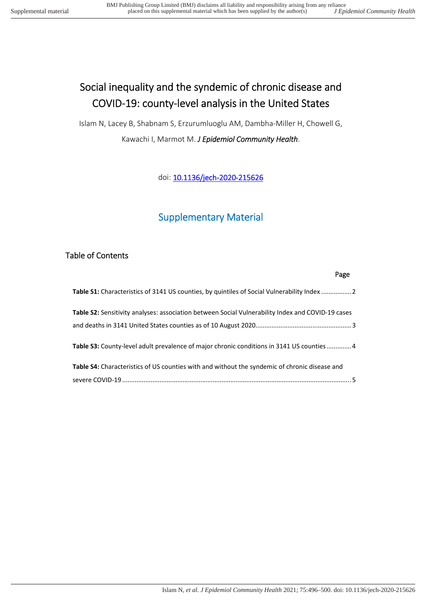# Social inequality and the syndemic of chronic disease and COVID-19: county-level analysis in the United States

Islam N, Lacey B, Shabnam S, Erzurumluoglu AM, Dambha-Miller H, Chowell G, Kawachi I, Marmot M. *J Epidemiol Community Health*.

doi: [10.1136/jech-2020-215626](file:///C:\Users\remote\Downloads\syndemic_paper_revision\doi.org\10.1136\jech-2020-215626)

# Supplementary Material

### Table of Contents

| Page                                                                                                     |
|----------------------------------------------------------------------------------------------------------|
| Table S1: Characteristics of 3141 US counties, by quintiles of Social Vulnerability Index  2             |
| <b>Table S2:</b> Sensitivity analyses: association between Social Vulnerability Index and COVID-19 cases |
|                                                                                                          |
| Table S3: County-level adult prevalence of major chronic conditions in 3141 US counties4                 |
| Table S4: Characteristics of US counties with and without the syndemic of chronic disease and            |
|                                                                                                          |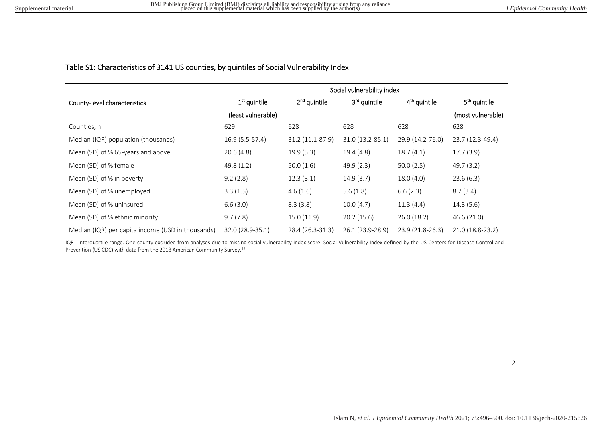#### Table S1: Characteristics of 3141 US counties, by quintiles of Social Vulnerability Index

|                                                   | Social vulnerability index |                  |                          |                          |                          |  |
|---------------------------------------------------|----------------------------|------------------|--------------------------|--------------------------|--------------------------|--|
| County-level characteristics                      | $1st$ quintile             | $2nd$ quintile   | 3 <sup>rd</sup> quintile | 4 <sup>th</sup> quintile | 5 <sup>th</sup> quintile |  |
|                                                   | (least vulnerable)         |                  |                          |                          | (most vulnerable)        |  |
| Counties, n                                       | 629                        | 628              | 628                      | 628                      | 628                      |  |
| Median (IQR) population (thousands)               | 16.9 (5.5-57.4)            | 31.2 (11.1-87.9) | 31.0 (13.2-85.1)         | 29.9 (14.2-76.0)         | 23.7 (12.3-49.4)         |  |
| Mean (SD) of % 65-years and above                 | 20.6(4.8)                  | 19.9(5.3)        | 19.4 (4.8)               | 18.7(4.1)                | 17.7(3.9)                |  |
| Mean (SD) of % female                             | 49.8(1.2)                  | 50.0(1.6)        | 49.9 (2.3)               | 50.0(2.5)                | 49.7 (3.2)               |  |
| Mean (SD) of % in poverty                         | 9.2(2.8)                   | 12.3(3.1)        | 14.9(3.7)                | 18.0(4.0)                | 23.6(6.3)                |  |
| Mean (SD) of % unemployed                         | 3.3(1.5)                   | 4.6(1.6)         | 5.6(1.8)                 | 6.6(2.3)                 | 8.7(3.4)                 |  |
| Mean (SD) of % uninsured                          | 6.6(3.0)                   | 8.3(3.8)         | 10.0(4.7)                | 11.3(4.4)                | 14.3(5.6)                |  |
| Mean (SD) of % ethnic minority                    | 9.7(7.8)                   | 15.0(11.9)       | 20.2(15.6)               | 26.0(18.2)               | 46.6(21.0)               |  |
| Median (IQR) per capita income (USD in thousands) | 32.0 (28.9-35.1)           | 28.4 (26.3-31.3) | 26.1 (23.9-28.9)         | 23.9 (21.8-26.3)         | 21.0 (18.8-23.2)         |  |

<span id="page-1-0"></span>IQR= interquartile range. One county excluded from analyses due to missing social vulnerability index score. Social Vulnerability Index defined by the US Centers for Disease Control and Prevention (US CDC) with data from the 2018 American Community Survey.<sup>15</sup>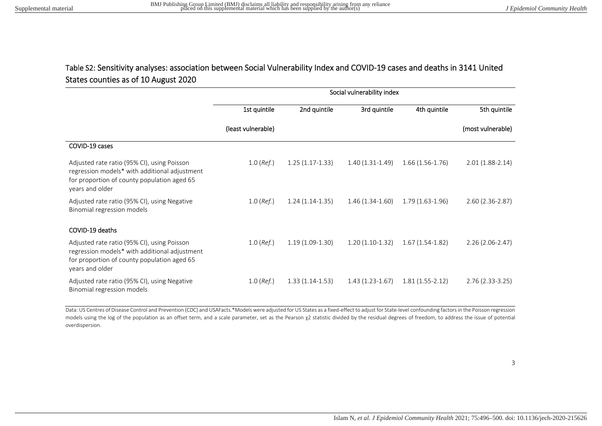# Table S2: Sensitivity analyses: association between Social Vulnerability Index and COVID-19 cases and deaths in 3141 United States counties as of 10 August 2020

|                                                                                                                                                                | Social vulnerability index |                   |                   |                   |                   |
|----------------------------------------------------------------------------------------------------------------------------------------------------------------|----------------------------|-------------------|-------------------|-------------------|-------------------|
|                                                                                                                                                                | 1st quintile               | 2nd quintile      | 3rd quintile      | 4th quintile      | 5th quintile      |
|                                                                                                                                                                | (least vulnerable)         |                   |                   |                   | (most vulnerable) |
| COVID-19 cases                                                                                                                                                 |                            |                   |                   |                   |                   |
| Adjusted rate ratio (95% CI), using Poisson<br>regression models* with additional adjustment<br>for proportion of county population aged 65<br>years and older | $1.0$ (Ref.)               | $1.25(1.17-1.33)$ | $1.40(1.31-1.49)$ | $1.66(1.56-1.76)$ | $2.01(1.88-2.14)$ |
| Adjusted rate ratio (95% CI), using Negative<br>Binomial regression models                                                                                     | $1.0$ (Ref.)               | $1.24(1.14-1.35)$ | $1.46(1.34-1.60)$ | $1.79(1.63-1.96)$ | $2.60(2.36-2.87)$ |
| COVID-19 deaths                                                                                                                                                |                            |                   |                   |                   |                   |
| Adjusted rate ratio (95% CI), using Poisson<br>regression models* with additional adjustment<br>for proportion of county population aged 65<br>years and older | $1.0$ (Ref.)               | $1.19(1.09-1.30)$ | $1.20(1.10-1.32)$ | $1.67(1.54-1.82)$ | $2.26(2.06-2.47)$ |
| Adjusted rate ratio (95% CI), using Negative<br>Binomial regression models                                                                                     | $1.0$ (Ref.)               | $1.33(1.14-1.53)$ | $1.43(1.23-1.67)$ | $1.81(1.55-2.12)$ | $2.76(2.33-3.25)$ |

<span id="page-2-0"></span>Data: US Centres of Disease Control and Prevention (CDC) and USAFacts.\*Models were adjusted for US States as a fixed-effect to adjust for State-level confounding factors in the Poisson regression models using the log of the population as an offset term, and a scale parameter, set as the Pearson χ2 statistic divided by the residual degrees of freedom, to address the issue of potential overdispersion.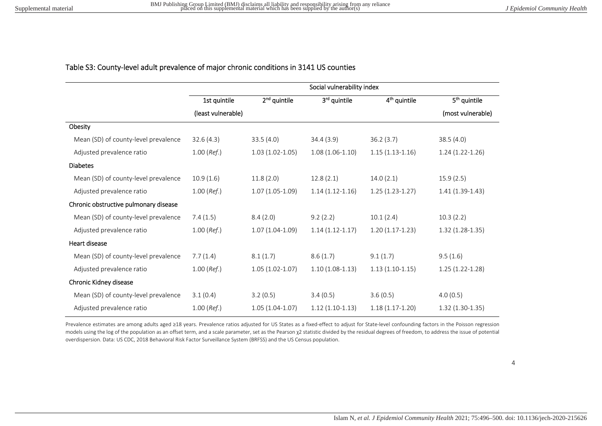#### Table S3: County-level adult prevalence of major chronic conditions in 3141 US counties

|                                       | Social vulnerability index |                   |                   |                          |                          |
|---------------------------------------|----------------------------|-------------------|-------------------|--------------------------|--------------------------|
|                                       | 1st quintile               | $2nd$ quintile    | 3rd quintile      | 4 <sup>th</sup> quintile | 5 <sup>th</sup> quintile |
|                                       | (least vulnerable)         |                   |                   |                          | (most vulnerable)        |
| Obesity                               |                            |                   |                   |                          |                          |
| Mean (SD) of county-level prevalence  | 32.6(4.3)                  | 33.5(4.0)         | 34.4(3.9)         | 36.2(3.7)                | 38.5(4.0)                |
| Adjusted prevalence ratio             | $1.00$ (Ref.)              | $1.03(1.02-1.05)$ | $1.08(1.06-1.10)$ | $1.15(1.13-1.16)$        | $1.24(1.22-1.26)$        |
| <b>Diabetes</b>                       |                            |                   |                   |                          |                          |
| Mean (SD) of county-level prevalence  | 10.9(1.6)                  | 11.8(2.0)         | 12.8(2.1)         | 14.0(2.1)                | 15.9(2.5)                |
| Adjusted prevalence ratio             | $1.00$ (Ref.)              | $1.07(1.05-1.09)$ | $1.14(1.12-1.16)$ | $1.25(1.23-1.27)$        | $1.41(1.39-1.43)$        |
| Chronic obstructive pulmonary disease |                            |                   |                   |                          |                          |
| Mean (SD) of county-level prevalence  | 7.4(1.5)                   | 8.4(2.0)          | 9.2(2.2)          | 10.1(2.4)                | 10.3(2.2)                |
| Adjusted prevalence ratio             | $1.00$ (Ref.)              | $1.07(1.04-1.09)$ | $1.14(1.12-1.17)$ | $1.20(1.17-1.23)$        | $1.32(1.28-1.35)$        |
| Heart disease                         |                            |                   |                   |                          |                          |
| Mean (SD) of county-level prevalence  | 7.7(1.4)                   | 8.1(1.7)          | 8.6(1.7)          | 9.1(1.7)                 | 9.5(1.6)                 |
| Adjusted prevalence ratio             | $1.00$ (Ref.)              | $1.05(1.02-1.07)$ | $1.10(1.08-1.13)$ | $1.13(1.10-1.15)$        | $1.25(1.22-1.28)$        |
| Chronic Kidney disease                |                            |                   |                   |                          |                          |
| Mean (SD) of county-level prevalence  | 3.1(0.4)                   | 3.2(0.5)          | 3.4(0.5)          | 3.6(0.5)                 | 4.0(0.5)                 |
| Adjusted prevalence ratio             | $1.00$ (Ref.)              | $1.05(1.04-1.07)$ | $1.12(1.10-1.13)$ | $1.18(1.17-1.20)$        | $1.32(1.30-1.35)$        |

<span id="page-3-0"></span>Prevalence estimates are among adults aged ≥18 years. Prevalence ratios adjusted for US States as a fixed-effect to adjust for State-level confounding factors in the Poisson regression models using the log of the population as an offset term, and a scale parameter, set as the Pearson χ2 statistic divided by the residual degrees of freedom, to address the issue of potential overdispersion. Data: US CDC, 2018 Behavioral Risk Factor Surveillance System (BRFSS) and the US Census population.